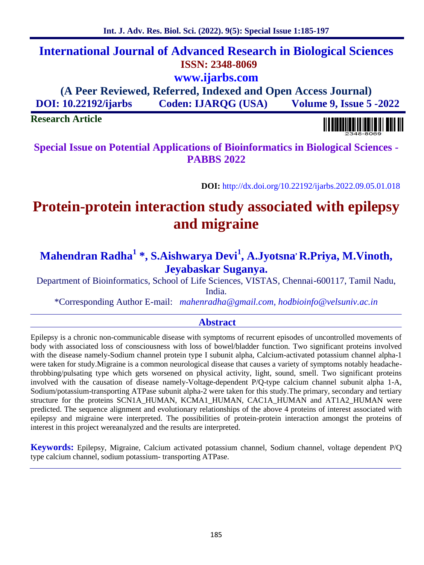# **International Journal of Advanced Research in Biological Sciences ISSN: 2348-8069 www.ijarbs.com**

**(A Peer Reviewed, Referred, Indexed and Open Access Journal) DOI: 10.22192/ijarbs Coden: IJARQG (USA) Volume 9, Issue 5 -2022**

### **Research Article**

**Special Issue on Potential Applications of Bioinformatics in Biological Sciences - PABBS 2022**

**DOI:** http://dx.doi.org/10.22192/ijarbs.2022.09.05.01.018

# **Protein-protein interaction study associated with epilepsy and migraine**

## **Mahendran Radha<sup>1</sup> \*, S.Aishwarya Devi<sup>1</sup> , A.Jyotsna, R.Priya, M.Vinoth, Jeyabaskar Suganya.**

Department of Bioinformatics, School of Life Sciences, VISTAS, Chennai-600117, Tamil Nadu, India.

\*Corresponding Author E-mail: *mahenradha@gmail.com, hodbioinfo@velsuniv.ac.in*

### **Abstract**

Epilepsy is a chronic non-communicable disease with symptoms of recurrent episodes of uncontrolled movements of body with associated loss of consciousness with loss of bowel/bladder function. Two significant proteins involved with the disease namely-Sodium channel protein type I subunit alpha, Calcium-activated potassium channel alpha-1 were taken for study.Migraine is a common neurological disease that causes a variety of symptoms notably headachethrobbing/pulsating type which gets worsened on physical activity, light, sound, smell. Two significant proteins involved with the causation of disease namely-Voltage-dependent P/Q-type calcium channel subunit alpha 1-A, Sodium/potassium-transporting ATPase subunit alpha-2 were taken for this study.The primary, secondary and tertiary structure for the proteins SCN1A\_HUMAN, KCMA1\_HUMAN, CAC1A\_HUMAN and AT1A2\_HUMAN were predicted. The sequence alignment and evolutionary relationships of the above 4 proteins of interest associated with epilepsy and migraine were interpreted. The possibilities of protein-protein interaction amongst the proteins of interest in this project wereanalyzed and the results are interpreted.

**Keywords:** Epilepsy, Migraine, Calcium activated potassium channel, Sodium channel, voltage dependent P/Q type calcium channel, sodium potassium- transporting ATPase.

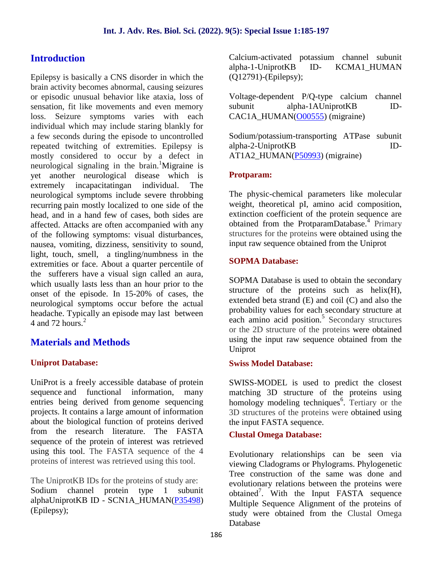### **Introduction**

Epilepsy is basically a CNS disorder in which the brain activity becomes abnormal, causing seizures or episodic unusual behavior like ataxia, loss of sensation, fit like movements and even memory subunit loss. Seizure symptoms varies with each individual which may include staring blankly for a few seconds during the episode to uncontrolled repeated twitching of extremities. Epilepsy is mostly considered to occur by a defect in neurological signaling in the brain.<sup>1</sup>Migraine is yet another neurological disease which is extremely incapacitatingan individual. The neurological symptoms include severe throbbing recurring pain mostly localized to one side of the head, and in a hand few of cases, both sides are affected. Attacks are often accompanied with any of the following symptoms: visual disturbances, nausea, vomiting, dizziness, sensitivity to sound, light, touch, smell, a tingling/numbness in the extremities or face. About a quarter percentile of the sufferers have a visual sign called an aura, which usually lasts less than an hour prior to the onset of the episode. In 15-20% of cases, the neurological symptoms occur before the actual headache. Typically an episode may last between 4 and 72 hours. $^{2}$ 

### **Materials and Methods**

### **Uniprot Database:**

UniProt is a freely accessible database of protein sequence and functional information, many entries being derived from genome sequencing projects. It contains a large amount of information about the biological function of proteins derived from the research literature. The FASTA sequence of the protein of interest was retrieved using this tool. The FASTA sequence of the 4 proteins of interest was retrieved using this tool.

The UniprotKB IDs for the proteins of study are: Sodium channel protein type 1 subunit alphaUniprotKB ID - SCN1A\_HUMAN(P35498) (Epilepsy);

Calcium-activated potassium channel subunit alpha-1-UniprotKB ID- KCMA1\_HUMAN (Q12791)-(Epilepsy);

Voltage-dependent P/Q-type calcium channel alpha-1AUniprotKB ID-CAC1A\_HUMAN(O00555) (migraine)

Sodium/potassium-transporting ATPase subunit alpha-2-UniprotKB ID- AT1A2\_HUMAN(P50993) (migraine)

### **Protparam:**

The physic-chemical parameters like molecular weight, theoretical pI, amino acid composition, extinction coefficient of the protein sequence are obtained from the ProtparamDatabase.<sup>4</sup> Primary structures for the proteins were obtained using the input raw sequence obtained from the Uniprot

### **SOPMA Database:**

SOPMA Database is used to obtain the secondary structure of the proteins such as helix(H), extended beta strand (E) and coil (C) and also the probability values for each secondary structure at each amino acid position. $5$  Secondary structures or the 2D structure of the proteins were obtained using the input raw sequence obtained from the Uniprot

### **Swiss Model Database:**

SWISS-MODEL is used to predict the closest matching 3D structure of the proteins using homology modeling techniques<sup>6</sup>. Tertiary or the 3D structures of the proteins were obtained using the input FASTA sequence.

### **Clustal Omega Database:**

Evolutionary relationships can be seen via viewing Cladograms or Phylograms. Phylogenetic Tree construction of the same was done and evolutionary relations between the proteins were obtained<sup>7</sup>. With the Input FASTA sequence Multiple Sequence Alignment of the proteins of study were obtained from the Clustal Omega Database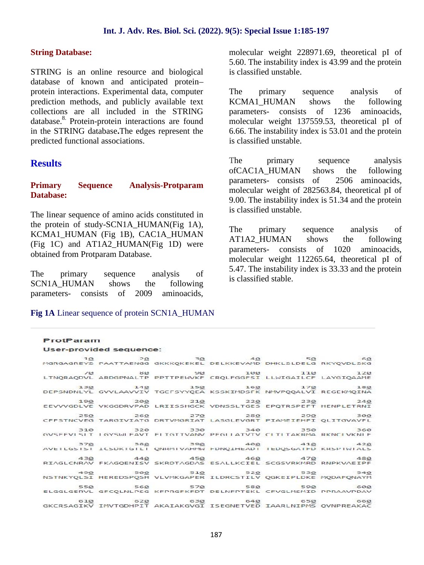#### **String Database:**

STRING is an online resource and biological database of known and anticipated protein– protein interactions. Experimental data, computer prediction methods, and publicly available text collections are all included in the STRING database.<sup>8</sup> Protein-protein interactions are found in the STRING database**.**The edges represent the predicted functional associations.

### **Results**

#### **Primary Sequence Analysis-Protparam Database:**

The linear sequence of amino acids constituted in the protein of study-SCN1A\_HUMAN(Fig 1A),  $KCMA1$  HUMAN (Fig 1B), CAC1A HUMAN (Fig 1C) and AT1A2\_HUMAN(Fig 1D) were obtained from Protparam Database.

The primary sequence analysis of SCN1A HUMAN shows the following parameters- consists of 2009 aminoacids,

**Fig 1A** Linear sequence of protein SCN1A\_HUMAN

ProtParam

molecular weight 228971.69, theoretical pI of 5.60. The instability index is 43.99 and the protein is classified unstable.

The primary sequence analysis of KCMA1\_HUMAN shows the following parameters- consists of 1236 aminoacids, molecular weight 137559.53, theoretical pI of 6.66. The instability index is 53.01 and the protein is classified unstable.

The primary sequence analysis ofCAC1A\_HUMAN shows the following parameters- consists of 2506 aminoacids, molecular weight of 282563.84, theoretical pI of 9.00. The instability index is 51.34 and the protein is classified unstable.

primary sequence analysis of AT1A2\_HUMAN shows the following parameters- consists of 1020 aminoacids, molecular weight 112265.64, theoretical pI of 5.47. The instability index is 33.33 and the protein is classified stable.

| User-provided sequence:                                             |  |                                                                                                  |
|---------------------------------------------------------------------|--|--------------------------------------------------------------------------------------------------|
| $10 \t 20$ $20 \t 30$ $40$ $50$ $60$                                |  |                                                                                                  |
| MGRGAGREYS PAATTAENGG GKKKQKEKEL DELKKEVAMD DHKLSLDELG RKYQVDLSKG   |  |                                                                                                  |
|                                                                     |  |                                                                                                  |
|                                                                     |  |                                                                                                  |
|                                                                     |  | $130$ $140$ $150$ $160$ $170$ $180$                                                              |
| DEPSNDNLYL GVVLAAVVIV TGCFSYYQEA KSSKIMDSFK NMVPQQALVI REGEKMQINA   |  |                                                                                                  |
|                                                                     |  | 19 <u>0</u> 20 <u>0</u> 210 220 230 240                                                          |
| EEVVVGDLVE VKGGDRVPAD LRIISSHGCK VDNSSLTGES EPQTRSPEFT HENPLETRNI   |  |                                                                                                  |
|                                                                     |  | $250$ $260$ $270$ $280$ $290$ $300$                                                              |
| CFFSTNCVEG TARGIVIATG DRTVMGRIAT LASGLEVGRT PIAMEIEHFI QLITGVAVFL   |  |                                                                                                  |
| 310 320 330 340 350 360                                             |  |                                                                                                  |
| GVSFFVI SIT 1 GYSWLFAVT FLTGTTVANV PFGLLATVTV CLTLTAKRMA RKNCLVKNLF |  |                                                                                                  |
| 370 380 390 400 410 420                                             |  |                                                                                                  |
|                                                                     |  | AVEILGSISI ILSDKIGILI QNRMIVAHMW FDNQIHEADI IEDQSGAIFD KRSPIWIALS.                               |
|                                                                     |  | 430 449 450 460 470 480                                                                          |
| RIAGLCNRAV FKAGQENISV SKRDTAGDAS ESALLKCIEL SCGSVRKMRD RNPKVAEIPF   |  |                                                                                                  |
|                                                                     |  |                                                                                                  |
|                                                                     |  | 490 540 510 520 520 530 490<br>NSTNKYQLSI HEREDSPQSH VLVMKGAPER ILDRCSTILV QGKEIPLDKE MQDAFQNAYM |
|                                                                     |  | 55 <u>0</u> 56 <u>0</u> 57 <u>0</u> 58 <u>0</u> 59 <u>0</u> 60 <u>0</u>                          |
| ELGGLGERVL GFCQLNLPSG KFPRGFKFDT DELNFPTEKL CFVGLMSMID PPRAAVPDAV   |  |                                                                                                  |
|                                                                     |  | 610 620 630 640 650 660                                                                          |
|                                                                     |  | GKCRSAGIKV IMVTGDHPIT AKAIAKGVGI ISEGNETVED IAARLNIPMS QVNPREAKAC                                |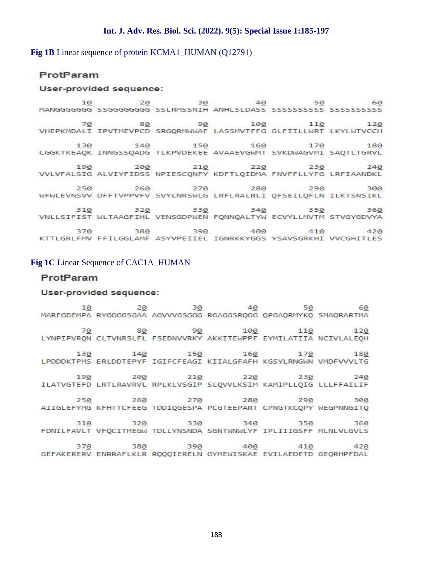#### **Fig 1B** Linear sequence of protein KCMA1 HUMAN (Q12791)

#### ProtParam

#### User-provided sequence:

80 90 100 110 120<br>VHEPKMDALI IPVTMEVPCD SRGQRMWWAF LASSMVTFFG GLFIILLWRT LKYLWTVCCH CGGKTKEAQK INNGSSQADG TLKPVDEKEE AVAAEVGWMT SVKDWAGVMI SAQTLTGRVL VVLVFALSIG ALVIYFIDSS NPIESCQNFY KDFTLQIDMA FNVFFLLYFG LRFIAANDKL VNLLSIFIST WLTAAGFIHL VENSGDPWEN FQNNQALTYW ECVYLLMVTM STVGYGDVYA KTTLGRLFMV FFILGGLAMF ASYVPEIIEL IGNRKKYGGS YSAVSGRKHI VVCGHITLES

#### **Fig 1C** Linear Sequence of CAC1A\_HUMAN

#### ProtParam

#### User-provided sequence:

MARFGDEMPA RYGGGGSGAA AGVVVGSGGG RGAGGSRQGG QPGAQRMYKQ SMAQRARTMA LYNPIPVRQN CLTVNRSLFL FSEDNVVRKY AKKITEWPPF EYMILATIIA NCIVLALEQH LPDDDKTPMS ERLDDTEPYF IGIFCFEAGI KIIALGFAFH KGSYLRNGWN VMDFVVVLTG ILATVGTEFD LRTLRAVRVL RPLKLVSGIP SLQVVLKSIM KAMIPLLQIG LLLFFAILIF AIIGLEFYMG KFHTTCFEEG TDDIQGESPA PCGTEEPART CPNGTKCQPY WEGPNNGITQ FDNILFAVLT VFQCITMEGW TDLLYNSNDA SGNTWNWLYF IPLIIIGSFF MLNLVLGVLS GEFAKERERV ENRRAFLKLR RQQQIERELN GYMEWISKAE EVILAEDETD GEQRHPFDAL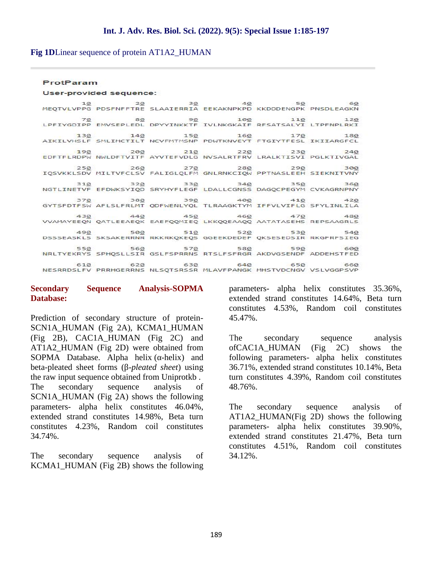**Fig 1D**Linear sequence of protein AT1A2\_HUMAN

#### ProtParam

```
User-provided sequence:
```

|                     |  | 10 19 20 30 40 50 50 10<br>MEQTVLVPPG PDSFNFFTRE SLAAIERRIA EEKAKNPKPD KKDDDENGPK PNSDLEAGKN                                                 |                         |
|---------------------|--|----------------------------------------------------------------------------------------------------------------------------------------------|-------------------------|
|                     |  | 70 80 90 100 110<br>LPFIYGDIPP EMVSEPLEDL DPYYINKKTF IVLNKGKAIF RFSATSALYI LTPFNPLRKI                                                        | 120                     |
| the company and the |  | 130 140 150 160 170 180<br>AIKILVHSLF SMLIMCTILT NCVFMTMSNP PDWTKNVEYT FTGIYTFESL IKIIARGFCL                                                 |                         |
|                     |  | 190 200 210 220 230 240<br>EDFTFLRDPW NWLDFTVITF AYVTEFVDLG NVSALRTFRV LRALKTISVI PGLKTIVGAL                                                 |                         |
|                     |  | $250$ $260$ $270$ $280$ $290$ $300$<br>IQSVKKLSDV MILTVFCLSV FALIGLQLFM GNLRNKCIQW PPTNASLEEH SIEKNITVNY                                     |                         |
|                     |  | 31 <u>0</u> 32 <u>0</u> 33 <u>0</u> 34 <u>0</u> 35 <u>0</u> 36 <u>0</u><br>NGTLINETVF EFDWKSYIQD SRYHYFLEGF LDALLCGNSS DAGQCPEGYM CVKAGRNPNY |                         |
|                     |  | 370 380 390 400 410 420<br>GYTSFDTFSW AFLSLFRLMT QDFWENLYQL TLRAAGKTYM IFFVLVIFLG SFYLINLILA                                                 |                         |
|                     |  | 430 440 450 460 470 480<br>VVAMAYEEQN QATLEEAEQK EAEFQQMIEQ LKKQQEAAQQ AATATASEHS REPSAAGRLS                                                 |                         |
|                     |  | 490 500 510 520 530 540<br>DSSSEASKLS SKSAKERRNR RKKRKQKEQS GGEEKDEDEF QKSESEDSIR RKGFRFSIEG                                                 |                         |
|                     |  | 55 <u>0</u> 56 <u>0</u> 57 <u>0</u> 58 <u>0</u> 590 600<br>NRLTYEKRYS SPHQSLLSIR GSLFSPRRNS RTSLFSFRGR AKDVGSENDF ADDEHSTFED                 |                         |
|                     |  | NESRRDSLFV PRRHGERRNS NLSQTSRSSR MLAVFPANGK MHSTVDCNGV VSLVGGPSVP                                                                            | 610 620 630 640 650 660 |

#### **Secondary Sequence Analysis-SOPMA Database:**

Prediction of secondary structure of protein- SCN1A\_HUMAN (Fig 2A), KCMA1\_HUMAN (Fig 2B), CAC1A\_HUMAN (Fig 2C) and AT1A2\_HUMAN (Fig 2D) were obtained from SOPMA Database. Alpha helix ( -helix) and beta-pleated sheet forms (β-*pleated sheet*) using the raw input sequence obtained from Uniprotkb . The secondary sequence analysis of SCN1A\_HUMAN (Fig 2A) shows the following parameters- alpha helix constitutes 46.04%, extended strand constitutes 14.98%, Beta turn constitutes 4.23%, Random coil constitutes 34.74%.

The secondary sequence analysis of KCMA1\_HUMAN (Fig 2B) shows the following parameters- alpha helix constitutes 35.36%, extended strand constitutes 14.64%, Beta turn constitutes 4.53%, Random coil constitutes 45.47%.

secondary sequence analysis ofCAC1A\_HUMAN (Fig 2C) shows the following parameters- alpha helix constitutes 36.71%, extended strand constitutes 10.14%, Beta turn constitutes 4.39%, Random coil constitutes 48.76%.

The secondary sequence analysis of AT1A2\_HUMAN(Fig 2D) shows the following parameters- alpha helix constitutes 39.90%, extended strand constitutes 21.47%, Beta turn constitutes 4.51%, Random coil constitutes 34.12%.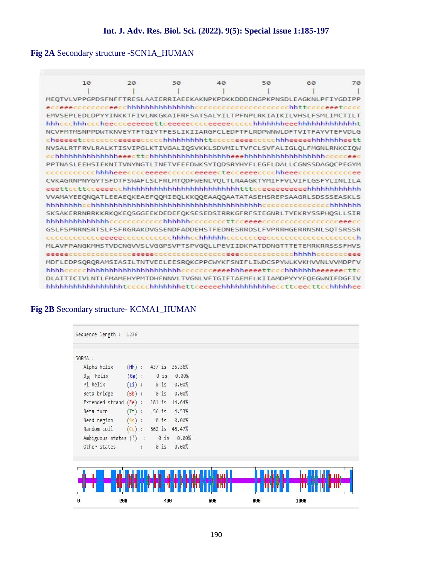### **Fig 2A** Secondary structure -SCN1A\_HUMAN

| 10                                                                     | 20 | 30 | 40 | 50 | 60 | 70 |
|------------------------------------------------------------------------|----|----|----|----|----|----|
|                                                                        |    |    |    |    |    |    |
| MEOTVLVPPGPDSFNFFTRESLAAIERRIAEEKAKNPKPDKKDDDENGPKPNSDLEAGKNLPFIYGDIPP |    |    |    |    |    |    |
|                                                                        |    |    |    |    |    |    |
| EMVSEPLEDLDPYYINKKTFIVLNKGKAIFRFSATSALYILTPFNPLRKIAIKILVHSLFSMLIMCTILT |    |    |    |    |    |    |
|                                                                        |    |    |    |    |    |    |
| NCVFMTMSNPPDWTKNVEYTFTGIYTFESLIKIIARGFCLEDFTFLRDPWNWLDFTVITFAYVTEFVDLG |    |    |    |    |    |    |
| cheeeeetccccccceeeeeccccchhhhhhhhhttccccceeeeccccchhheeeeehhhhhhheett  |    |    |    |    |    |    |
| NVSALRTFRVLRALKTISVIPGLKTIVGALIOSVKKLSDVMILTVFCLSVFALIGLOLFMGNLRNKCIOW |    |    |    |    |    |    |
|                                                                        |    |    |    |    |    |    |
| PPTNASLEEHSIEKNITVNYNGTLINETVFEFDWKSYIQDSRYHYFLEGFLDALLCGNSSDAGQCPEGYM |    |    |    |    |    |    |
|                                                                        |    |    |    |    |    |    |
| CVKAGRNPNYGYTSFDTFSWAFLSLFRLMTODFWENLYOLTLRAAGKTYMIFFVLVIFLGSFYLINLILA |    |    |    |    |    |    |
|                                                                        |    |    |    |    |    |    |
| VVAMAYEEONQATLEEAEQKEAEFQQMIEQLKKQQEAAQQAATATASEHSREPSAAGRLSDSSSEASKLS |    |    |    |    |    |    |
|                                                                        |    |    |    |    |    |    |
| SKSAKERRNRRKKRKQKEQSGGEEKDEDEFQKSESEDSIRRKGFRFSIEGNRLTYEKRYSSPHQSLLSIR |    |    |    |    |    |    |
|                                                                        |    |    |    |    |    |    |
| GSLFSPRRNSRTSLFSFRGRAKDVGSENDFADDEHSTFEDNESRRDSLFVPRRHGERRNSNLSOTSRSSR |    |    |    |    |    |    |
|                                                                        |    |    |    |    |    |    |
| MLAVFPANGKMHSTVDCNGVVSLVGGPSVPTSPVGQLLPEVIIDKPATDDNGTTTETEMRKRRSSSFHVS |    |    |    |    |    |    |
|                                                                        |    |    |    |    |    |    |
| MDFLEDPSQRQRAMSIASILTNTVEELEESRQKCPPCWYKFSNIFLIWDCSPYWLKVKHVVNLVVMDPFV |    |    |    |    |    |    |
| hhhhccccchhhhhhhhhhhhhhhhhhhhccccccceeeehhheeeettccchhhhhhheeeeecttc   |    |    |    |    |    |    |
| DLAITICIVLNTLFMAMEHYPMTDHFNNVLTVGNLVFTGIFTAEMFLKIIAMDPYYYFOEGWNIFDGFIV |    |    |    |    |    |    |
|                                                                        |    |    |    |    |    |    |

### **Fig 2B** Secondary structure- KCMA1\_HUMAN

| Sequence length : 1236 |                                                |                                                                                                  |                                                                                                                                                              |     |      |
|------------------------|------------------------------------------------|--------------------------------------------------------------------------------------------------|--------------------------------------------------------------------------------------------------------------------------------------------------------------|-----|------|
|                        |                                                |                                                                                                  |                                                                                                                                                              |     |      |
|                        |                                                |                                                                                                  |                                                                                                                                                              |     |      |
|                        |                                                |                                                                                                  |                                                                                                                                                              |     |      |
|                        |                                                | 0.00%                                                                                            |                                                                                                                                                              |     |      |
|                        |                                                | 0.00%                                                                                            |                                                                                                                                                              |     |      |
|                        |                                                |                                                                                                  |                                                                                                                                                              |     |      |
|                        |                                                |                                                                                                  |                                                                                                                                                              |     |      |
|                        |                                                |                                                                                                  |                                                                                                                                                              |     |      |
|                        |                                                |                                                                                                  |                                                                                                                                                              |     |      |
|                        |                                                |                                                                                                  |                                                                                                                                                              |     |      |
|                        |                                                |                                                                                                  |                                                                                                                                                              |     |      |
|                        |                                                |                                                                                                  |                                                                                                                                                              |     |      |
|                        |                                                |                                                                                                  |                                                                                                                                                              |     |      |
|                        |                                                |                                                                                                  |                                                                                                                                                              |     |      |
|                        |                                                |                                                                                                  |                                                                                                                                                              |     |      |
|                        |                                                |                                                                                                  |                                                                                                                                                              |     |      |
| 200                    |                                                |                                                                                                  | 600                                                                                                                                                          | 800 | 1000 |
|                        | $(Hh)$ :<br>$(Gg)$ :<br>Extended strand (Ee) : | $0$ is<br>$(Ii):$ 0 is<br>Beta bridge (Bb) : 0 is<br>$(Tt)$ : 56 is<br>Bend region $(5s)$ : 0 is | 437 is 35.36%<br>0.00%<br>181 is 14.64%<br>4.53%<br>0.00%<br>$(Cc)$ : 562 is 45.47%<br>Ambiguous states (?) : 0 is 0.00%<br>Other states : 0 is 0.00%<br>400 |     |      |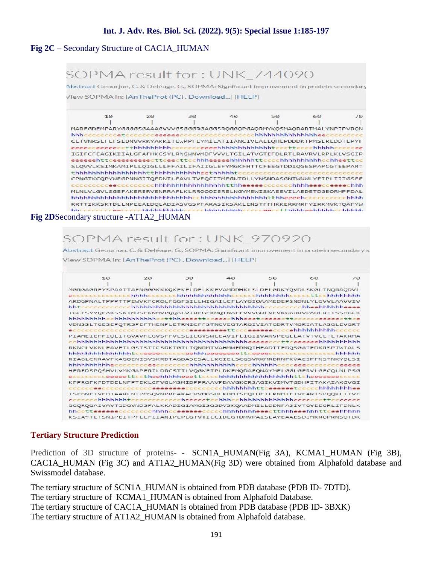### **Fig 2C** – Secondary Structure of CAC1A\_HUMAN

## SOPMA result for: UNK 744090

Abstract Geourjon, C. & Deléage, G., SOPMA: Significant improvement in protein secondary View SOPMA in: [AnTheProt (PC), Download...] [HELP]



| 10                                                                     | 20 | 30 | 40 | 50 | 60 | 70 |
|------------------------------------------------------------------------|----|----|----|----|----|----|
|                                                                        |    |    |    |    |    |    |
| MGRGAGREYSPAATTAENGGGKKKQKEKELDELKKEVAMDDHKLSLDELGRKYQVDLSKGLTNQRAODVL |    |    |    |    |    |    |
|                                                                        |    |    |    |    |    |    |
| ARDGPNALTPPPTTPEWVKFCROLFGGFSILLWIGAILCFLAYGIOAAMEDEPSNDNLYLGVVLAAVVIV |    |    |    |    |    |    |
|                                                                        |    |    |    |    |    |    |
| TGCFSYYQEAKSSKIMDSFKNMVPQOALVIREGEKMQINAEEVVVGDLVEVKGGDRVPADLRIISSHGCK |    |    |    |    |    |    |
| hhhhhhhhcchhhhhhhhhcctthheeeettcceeechhheeetceeeecttcccccceeeecttce    |    |    |    |    |    |    |
| VDNSSLTGESEPOTRSPEFTHENPLETRNICFFSTNCVEGTARGIVIATGDRTVMGRIATLASGLEVGRT |    |    |    |    |    |    |
|                                                                        |    |    |    |    |    |    |
| PIAMEIEHFIQLITGVAVFLGVSFFVLSLILGYSWLEAVIFLIGIIVANVPEGLLATVTVCLTLTAKRMA |    |    |    |    |    |    |
|                                                                        |    |    |    |    |    |    |
| RKNCLVKNLEAVETLGSTSTICSDKTGTLTQNRMTVAHMWFDNQIHEADTTEDQSGATFDKRSPTWTALS |    |    |    |    |    |    |
|                                                                        |    |    |    |    |    |    |
| RIAGLCNRAVFKAGQENISVSKRDTAGDASESALLKCIELSCGSVRKMRDRNPKVAEIPFNSTNKYQLSI |    |    |    |    |    |    |
|                                                                        |    |    |    |    |    |    |
| HEREDSPQSHVLVMKGAPERILDRCSTILVQGKEIPLDKEMQDAFQNAYMELGGLGERVLGFCQLNLPSG |    |    |    |    |    |    |
|                                                                        |    |    |    |    |    |    |
|                                                                        |    |    |    |    |    |    |
| KFPRGFKFDTDELNFPTEKLCFVGLMSMIDPPRAAVPDAVGKCRSAGIKVIMVTGDHPITAKAIAKGVGI |    |    |    |    |    |    |
|                                                                        |    |    |    |    |    |    |
| ISEGNETVEDIAARLNIPMSQVNPREAKACVVHGSDLKDMTSEQLDEILKNHTEIVFARTSPQQKLIIVE |    |    |    |    |    |    |
|                                                                        |    |    |    |    |    |    |
| GCOROGAIVAVTGDGVNDSPALKKADIGIAMGISGSDVSKOAADMILLDDNFASIVTGVEEGRLIFDNLK |    |    |    |    |    |    |
|                                                                        |    |    |    |    |    |    |
| KSIAYTLTSNIPEITPFLLFIIANIPLPLGTVTILCIDLGTDMVPAISLAYEAAESDIMKROPRNSOTDK |    |    |    |    |    |    |

#### **Tertiary Structure Prediction**

Prediction of 3D structure of proteins- - SCN1A HUMAN(Fig 3A), KCMA1 HUMAN (Fig 3B), CAC1A\_HUMAN (Fig 3C) and AT1A2\_HUMAN(Fig 3D) were obtained from Alphafold database and Swissmodel database.

The tertiary structure of SCN1A\_HUMAN is obtained from PDB database (PDB ID- 7DTD). The tertiary structure of KCMA1\_HUMAN is obtained from Alphafold Database. The tertiary structure of CAC1A\_HUMAN is obtained from PDB database (PDB ID- 3BXK) The tertiary structure of AT1A2\_HUMAN is obtained from Alphafold database.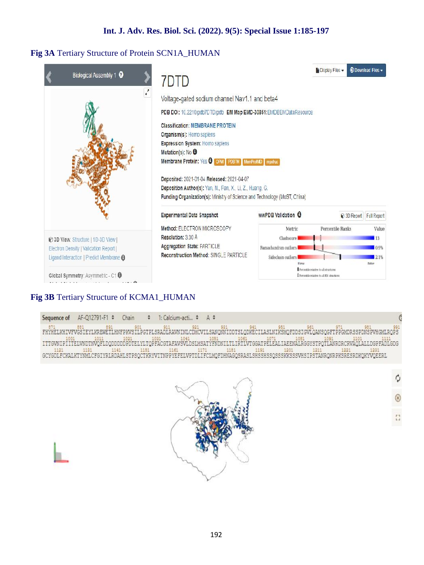### **Fig 3A** Tertiary Structure of Protein SCN1A\_HUMAN

| Biological Assembly 1 <sup>O</sup>                                                                                                                             |                                                                                                                                                                                                                                                                                                                                                                                                                                                                                                         |                                                                                      | <b>b</b> Display Files $\sim$                                                                         | <b>C</b> Download Files -             |
|----------------------------------------------------------------------------------------------------------------------------------------------------------------|---------------------------------------------------------------------------------------------------------------------------------------------------------------------------------------------------------------------------------------------------------------------------------------------------------------------------------------------------------------------------------------------------------------------------------------------------------------------------------------------------------|--------------------------------------------------------------------------------------|-------------------------------------------------------------------------------------------------------|---------------------------------------|
|                                                                                                                                                                | 7DTD                                                                                                                                                                                                                                                                                                                                                                                                                                                                                                    |                                                                                      |                                                                                                       |                                       |
| $\epsilon$                                                                                                                                                     | Voltage-gated sodium channel Nav1.1 and beta4<br>PDB DOI: 10.2210/pdb7DTD/pdb EM Map EMD-30851:EMDEEMDataResource<br><b>Classification: MEMBRANE PROTEIN</b><br>Organism(s): Homo sapiens<br><b>Expression System: Homo sapiens</b><br>Mutation(s): No O<br>Membrane Protein: Yes O OPM PDBTM MemProtVD mpstrue<br>Deposited: 2021-01-04 Released: 2021-04-07<br>Deposition Author(s): Yan, N., Fan, X., Li, Z., Huang, G.<br>Funding Organization(s): Ministry of Science and Technology (MoST, China) |                                                                                      |                                                                                                       |                                       |
|                                                                                                                                                                | Experimental Data Snapshot                                                                                                                                                                                                                                                                                                                                                                                                                                                                              | wwPDB Validation &                                                                   |                                                                                                       | <b>@ 3D Report</b> Full Report        |
| @ 3D View: Structure   1D-3D View  <br>Electron Density   Valication Report  <br>Ligand Interaction   Predict Membrane @<br>Global Symmetry: Asymmetric - C1 0 | Method: ELECTRON MICROSCOPY<br>Resolution: 330 Å<br>Aggregation State: PARTICLE<br>Reconstruction Method: SINGLE PARTICLE                                                                                                                                                                                                                                                                                                                                                                               | Metric<br>Clashscore I<br>Ramachandran outbers<br>Sidechain outliers<br><b>Worse</b> | Percentile Ranks<br>Percentile relative to all structures<br>Percentile relative to all EH structures | Value<br>13<br>0.9%<br>2.1%<br>Natter |

### **Fig 3B** Tertiary Structure of KCMA1\_HUMAN

Sequence of AF-Q12791-F1 \* Chain  $\ddot{\ast}$ 1: Calcium-acti... \* A # erpriedz **UTT SAN** FH **MAITNEC GDG** 1221 1231<br>IRONRPKSRESRDKOKYVOEERL 1191<br>SRASI SHSSHSSOSSSKKSSSVHS TTNPPYEFELVPT **TOHMAG** 



 $\ddot{\phi}$  $\frac{\mu}{\mu}$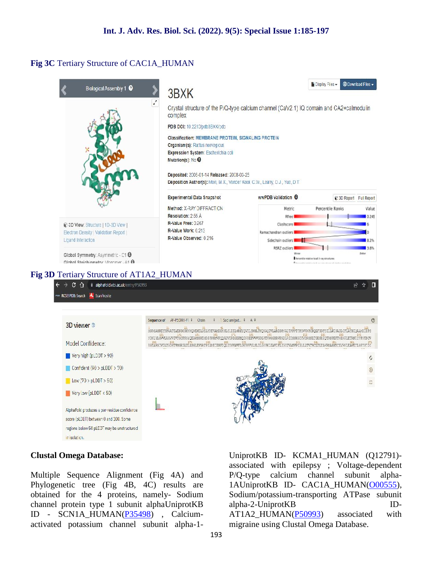#### **Fig 3C** Tertiary Structure of CAC1A\_HUMAN



#### **Clustal Omega Database:**

Multiple Sequence Alignment (Fig 4A) and P/Q-type Phylogenetic tree (Fig 4B, 4C) results are obtained for the 4 proteins, namely- Sodium channel protein type 1 subunit alphaUniprotKB ID - SCN1A\_HUMAN(P35498) , Calcium activated potassium channel subunit alpha-1-

UniprotKB ID- KCMA1\_HUMAN (Q12791) associated with epilepsy ; Voltage-dependent calcium channel subunit alpha-1AUniprotKB ID- CAC1A\_HUMAN(O00555), Sodium/potassium-transporting ATPase subunit alpha-2-UniprotKB ID- AT1A2\_HUMAN(P50993) associated with migraine using Clustal Omega Database.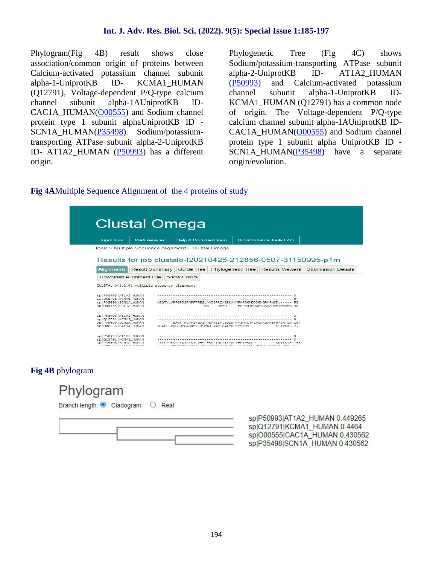Phylogram(Fig 4B) result shows close association/common origin of proteins between Calcium-activated potassium channel subunit alpha-1-UniprotKB ID- KCMA1\_HUMAN (P50993) (Q12791), Voltage-dependent P/Q-type calcium channel subunit alpha-1AUniprotKB ID- CAC1A\_HUMAN(O00555) and Sodium channel protein type 1 subunit alphaUniprotKB ID - SCN1A\_HUMAN(P35498). Sodium/potassiumtransporting ATPase subunit alpha-2-UniprotKB ID- AT1A2\_HUMAN (P50993) has a different origin.

Phylogenetic Tree (Fig 4C) shows Sodium/potassium-transporting ATPase subunit alpha-2-UniprotKB ID- AT1A2\_HUMAN and Calcium-activated potassium subunit alpha-1-UniprotKB ID-KCMA1\_HUMAN (Q12791) has a common node of origin. The Voltage-dependent P/Q-type calcium channel subunit alpha-1AUniprotKB ID- CAC1A\_HUMAN(O00555) and Sodium channel protein type 1 subunit alpha UniprotKB ID - SCN1A HUMAN(P35498) have a separate origin/evolution.

#### **Fig 4A**Multiple Sequence Alignment of the 4 proteins of study

| Impul form                                                                   | Web services:                                | Help & Documentation                                |                                                                           | <b>Bioinformalics Tools FAQ</b>        |  |
|------------------------------------------------------------------------------|----------------------------------------------|-----------------------------------------------------|---------------------------------------------------------------------------|----------------------------------------|--|
|                                                                              |                                              |                                                     |                                                                           |                                        |  |
|                                                                              |                                              | Tools > Multiple Sequence Alignment > Clustal Omega |                                                                           |                                        |  |
|                                                                              |                                              |                                                     |                                                                           |                                        |  |
|                                                                              |                                              |                                                     | Results for job clustalo-120210425-212856-0507-31150995-p1m               |                                        |  |
|                                                                              |                                              | Alignments Result Summary Cuide Tree                | Phylogenetic Tree   Results Viewers   Submission Details                  |                                        |  |
|                                                                              |                                              |                                                     |                                                                           |                                        |  |
|                                                                              | Download Alignment File                      | Show Colors                                         |                                                                           |                                        |  |
|                                                                              | CLUSTAL O(1.2.4) multiple sequence alignment |                                                     |                                                                           |                                        |  |
|                                                                              |                                              |                                                     |                                                                           |                                        |  |
|                                                                              |                                              |                                                     |                                                                           |                                        |  |
|                                                                              |                                              |                                                     |                                                                           |                                        |  |
|                                                                              |                                              |                                                     |                                                                           |                                        |  |
| Spi P50993 AT1A2 HUMAN<br>LD 012791 KCMA1 HUMAN<br>SD P35498 SCNIA HUMAN     |                                              | <b>114</b>                                          | MEQTVLVPPGPDSFNFFTRESLAAIERRIAEEKAKNPKPDKKDDDENGPKPNSDL---<br><b>REGD</b> | $-- 55$<br>FMPARYGGGGSGAAAGVVVGSGGG 30 |  |
| Sp 088555 CAC1A HUMAN                                                        |                                              |                                                     |                                                                           |                                        |  |
|                                                                              |                                              |                                                     |                                                                           |                                        |  |
|                                                                              |                                              |                                                     |                                                                           |                                        |  |
| SD P50993 AT1A2 HUMAN<br>bp   012791   KCMA1_HUMAN<br>Spi P35498 SCN1A HUMAN |                                              |                                                     | EAGK NLPFIYGDIPPEMVSEPLEDLDPYYINKKTFIVLNKGKAIFRFSATSA                     | 107                                    |  |
|                                                                              |                                              |                                                     | RGAGGSROGGOPGAORPYKOSPAO RARTMALYNPTPVRON                                 | $C1.1$ VALUE $77$                      |  |
| SOLOMOSSS CACTA HUMAN                                                        |                                              |                                                     |                                                                           |                                        |  |
| SD P50993 AT1A2 HUMAN                                                        |                                              |                                                     |                                                                           |                                        |  |
| sp Q12791 KCMA1_HUMAN<br>SD P35498 SCN1A HUMAN                               |                                              |                                                     |                                                                           |                                        |  |

**Fig 4B** phylogram



sp|P50993|AT1A2 HUMAN 0.449265 sp|Q12791|KCMA1 HUMAN 0.4464 splO00555|CAC1A HUMAN 0.430562 sp|P35498|SCN1A HUMAN 0.430562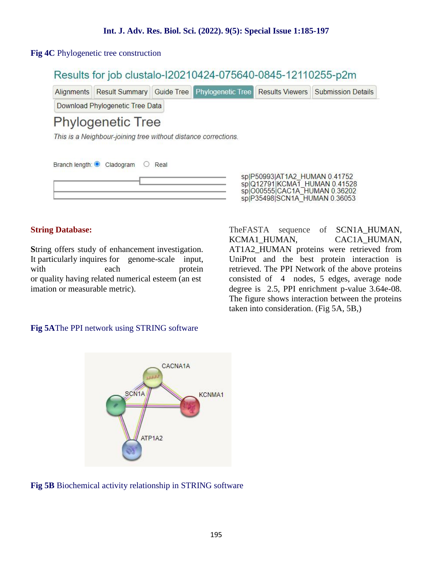#### **Fig 4C** Phylogenetic tree construction

### Results for job clustalo-I20210424-075640-0845-12110255-p2m

Alignments Result Summary Guide Tree Phylogenetic Tree **Results Viewers Submission Details** 

Download Phylogenetic Tree Data

# **Phylogenetic Tree**

This is a Neighbour-joining tree without distance corrections.

| Branch length: Cladogram | $\circ$ 0 | Real |  |
|--------------------------|-----------|------|--|
|                          |           |      |  |

#### **String Database:**

**S**tring offers study of enhancement investigation. It particularly inquires for genome-scale input, with each protein or quality having related numerical esteem (an est imation or measurable metric).

sp|P50993|AT1A2 HUMAN 0.41752 splQ12791|KCMAT\_HUMAN 0.41528<br>splQ00555|CAC1A\_HUMAN 0.36202 sp|P35498|SCN1A HUMAN 0.36053

TheFASTA sequence of SCN1A\_HUMAN, KCMA1\_HUMAN, CAC1A\_HUMAN, AT1A2\_HUMAN proteins were retrieved from UniProt and the best protein interaction is retrieved. The PPI Network of the above proteins consisted of 4 nodes, 5 edges, average node degree is 2.5, PPI enrichment p-value 3.64e-08. The figure shows interaction between the proteins taken into consideration. (Fig 5A, 5B,)

#### **Fig 5A**The PPI network using STRING software



**Fig 5B** Biochemical activity relationship in STRING software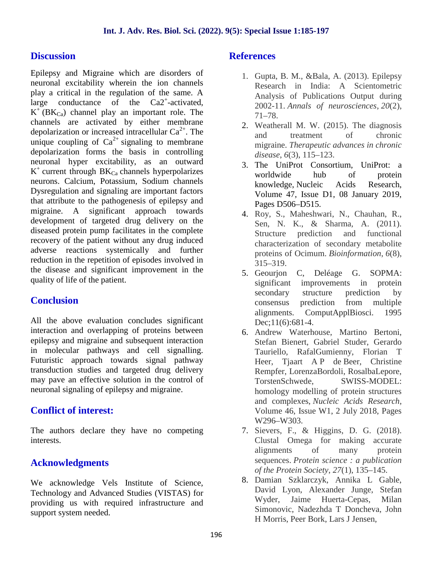### **Discussion**

Epilepsy and Migraine which are disorders of neuronal excitability wherein the ion channels play a critical in the regulation of the same. A large conductance of the  $Ca2^+$ -activated,  $K^{-}(BK_{Ca})$  channel play an important role. The channels are activated by either membrane depolarization or increased intracellular  $Ca^{2+}$ . The unique coupling of  $Ca^{2+}$  signaling to membrane depolarization forms the basis in controlling neuronal hyper excitability, as an outward  $K^+$  current through  $BK_{Ca}$  channels hyperpolarizes neurons. Calcium, Potassium, Sodium channels Dysregulation and signaling are important factors that attribute to the pathogenesis of epilepsy and migraine. A significant approach towards development of targeted drug delivery on the diseased protein pump facilitates in the complete recovery of the patient without any drug induced adverse reactions systemically and further reduction in the repetition of episodes involved in the disease and significant improvement in the quality of life of the patient.

### **Conclusion**

All the above evaluation concludes significant interaction and overlapping of proteins between epilepsy and migraine and subsequent interaction in molecular pathways and cell signalling. Futuristic approach towards signal pathway transduction studies and targeted drug delivery may pave an effective solution in the control of neuronal signaling of epilepsy and migraine.

### **Conflict of interest:**

The authors declare they have no competing interests.

### **Acknowledgments**

We acknowledge Vels Institute of Science, Technology and Advanced Studies (VISTAS) for providing us with required infrastructure and support system needed.

### **References**

- 1. Gupta, B. M., &Bala, A. (2013). Epilepsy Research in India: A Scientometric Analysis of Publications Output during 2002-11. *Annals of neurosciences*, *20*(2), 71–78.
- 2. Weatherall M. W. (2015). The diagnosis and treatment of chronic migraine. *Therapeutic advances in chronic disease*, *6*(3), 115–123.
- 3. The UniProt Consortium, UniProt: a worldwide hub of protein knowledge, Nucleic Acids Research, Volume 47, Issue D1, 08 January 2019, Pages D506–D515.
- 4. Roy, S., Maheshwari, N., Chauhan, R., Sen, N. K., & Sharma, A. (2011). Structure prediction and functional characterization of secondary metabolite proteins of Ocimum. *Bioinformation*, *6*(8), 315–319.
- 5. Geourjon C, Deléage G. SOPMA: significant improvements in protein secondary structure prediction by consensus prediction from multiple alignments. ComputApplBiosci. 1995 Dec;11(6):681-4.
- 6. Andrew Waterhouse, Martino Bertoni, Stefan Bienert, Gabriel Studer, Gerardo Tauriello, RafalGumienny, Florian T Heer, Tiaart A P de Beer, Christine Rempfer, LorenzaBordoli, RosalbaLepore, TorstenSchwede, SWISS-MODEL: homology modelling of protein structures and complexes, *Nucleic Acids Research*, Volume 46, Issue W1, 2 July 2018, Pages W296–W303.
- 7. Sievers, F., & Higgins, D. G. (2018). Clustal Omega for making accurate alignments of many protein sequences. *Protein science : a publication of the Protein Society*, *27*(1), 135–145.
- 8. Damian Szklarczyk, Annika L Gable, David Lyon, Alexander Junge, Stefan Wyder, Jaime Huerta-Cepas, Milan Simonovic, Nadezhda T Doncheva, John H Morris, Peer Bork, Lars J Jensen,